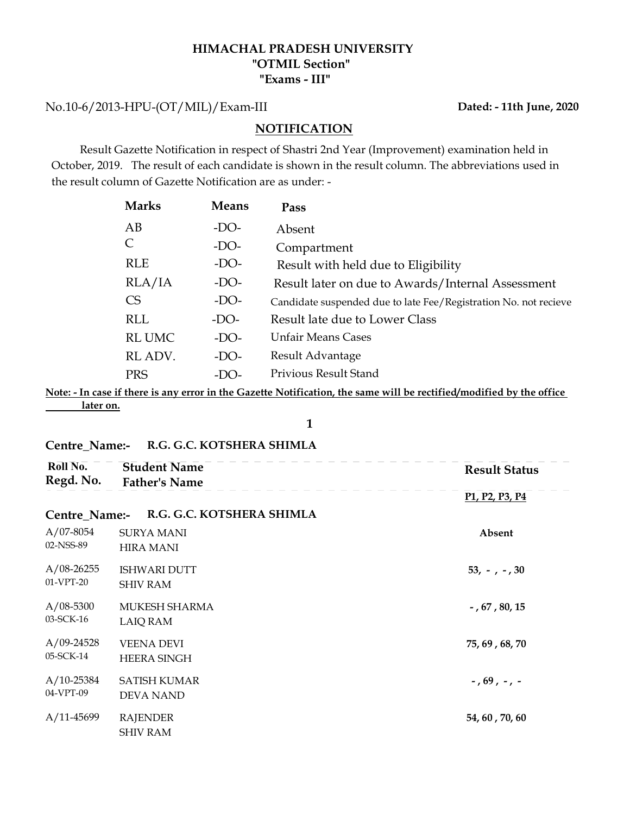## HIMACHAL PRADESH UNIVERSITY "Exams - III" "OTMIL Section"

No.10-6/2013-HPU-(OT/MIL)/Exam-III

 Result Gazette Notification in respect of Shastri 2nd Year (Improvement) examination held in October, 2019. The result of each candidate is shown in the result column. The abbreviations used in the result column of Gazette Notification are as under: -

|                        |              | HIMACHAL PRADESH UNIVERSITY<br>"OTMIL Section"<br>"Exams - III"                                                                                                                                                                 |
|------------------------|--------------|---------------------------------------------------------------------------------------------------------------------------------------------------------------------------------------------------------------------------------|
| -HPU-(OT/MIL)/Exam-III |              | Dated: - 11th June, 2020                                                                                                                                                                                                        |
|                        |              | <b>NOTIFICATION</b>                                                                                                                                                                                                             |
|                        |              | Gazette Notification in respect of Shastri 2nd Year (Improvement) examination held in<br>. The result of each candidate is shown in the result column. The abbreviations used in<br>umn of Gazette Notification are as under: - |
| <b>Marks</b>           | <b>Means</b> | Pass                                                                                                                                                                                                                            |
| AB                     | $-DO-$       | Absent                                                                                                                                                                                                                          |
|                        |              |                                                                                                                                                                                                                                 |
| $\mathsf{C}$           | $-DO-$       | Compartment                                                                                                                                                                                                                     |
| <b>RLE</b>             | $-DO-$       | Result with held due to Eligibility                                                                                                                                                                                             |
| RLA/IA                 | $-DO-$       | Result later on due to Awards/Internal Assessment                                                                                                                                                                               |
| <b>CS</b>              | $-DO-$       | Candidate suspended due to late Fee/Registration No. not recieve                                                                                                                                                                |
| <b>RLL</b>             | $-DO-$       | Result late due to Lower Class                                                                                                                                                                                                  |
| <b>RL UMC</b>          | $-DO-$       | <b>Unfair Means Cases</b>                                                                                                                                                                                                       |
| RL ADV.                | $-DO-$       | Result Advantage                                                                                                                                                                                                                |
| <b>PRS</b>             | $-DO-$       | Privious Result Stand                                                                                                                                                                                                           |

Note: - In case if there is any error in the Gazette Notification, the same will be rectified/modified by the office later on.

Centre\_Name:- R.G. G.C. KOTSHERA SHIMLA

| Roll No.<br>Regd. No.     | <b>Student Name</b><br><b>Father's Name</b> | <b>Result Status</b>                                              |
|---------------------------|---------------------------------------------|-------------------------------------------------------------------|
|                           |                                             | P <sub>1</sub> , P <sub>2</sub> , P <sub>3</sub> , P <sub>4</sub> |
| Centre_Name:-             | R.G. G.C. KOTSHERA SHIMLA                   |                                                                   |
| $A/07-8054$<br>02-NSS-89  | <b>SURYA MANI</b><br><b>HIRA MANI</b>       | Absent                                                            |
| $A/08-26255$<br>01-VPT-20 | <b>ISHWARI DUTT</b><br><b>SHIV RAM</b>      | $53, -7, -7, 30$                                                  |
| $A/08-5300$<br>03-SCK-16  | MUKESH SHARMA<br><b>LAIQ RAM</b>            | $-$ , 67, 80, 15                                                  |
| $A/09-24528$<br>05-SCK-14 | <b>VEENA DEVI</b><br><b>HEERA SINGH</b>     | 75, 69, 68, 70                                                    |
| $A/10-25384$<br>04-VPT-09 | <b>SATISH KUMAR</b><br><b>DEVA NAND</b>     | $-$ , 69, $-$ , $-$                                               |
| $A/11-45699$              | <b>RAJENDER</b><br><b>SHIV RAM</b>          | 54, 60, 70, 60                                                    |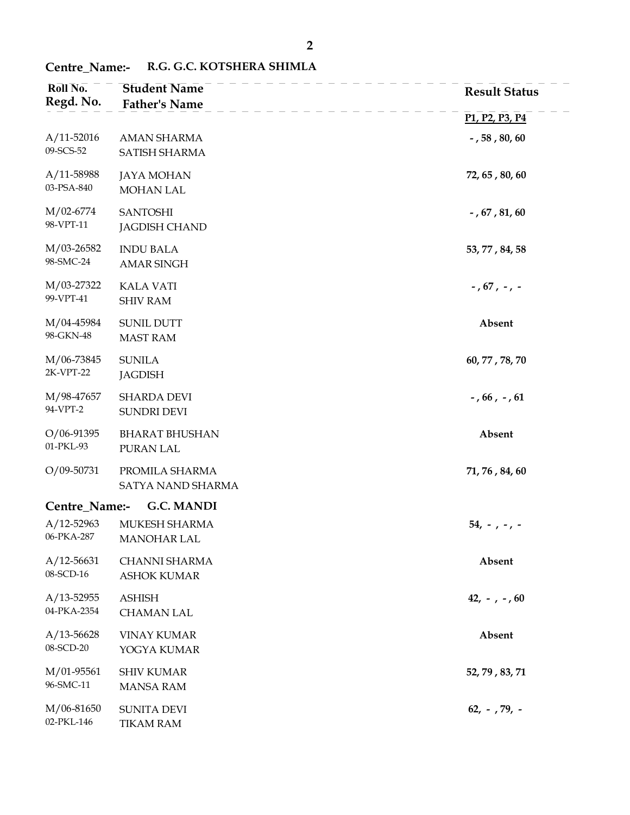## Centre\_Name:- R.G. G.C. KOTSHERA SHIMLA

| Roll No.<br>Regd. No.         | <b>Student Name</b><br><b>Father's Name</b> | <b>Result Status</b>                                              |
|-------------------------------|---------------------------------------------|-------------------------------------------------------------------|
|                               |                                             | P <sub>1</sub> , P <sub>2</sub> , P <sub>3</sub> , P <sub>4</sub> |
| $A/11 - 52016$<br>09-SCS-52   | <b>AMAN SHARMA</b><br>SATISH SHARMA         | $-$ , 58 , 80, 60                                                 |
| A/11-58988<br>03-PSA-840      | <b>JAYA MOHAN</b><br>MOHAN LAL              | 72, 65, 80, 60                                                    |
| M/02-6774<br>98-VPT-11        | <b>SANTOSHI</b><br><b>JAGDISH CHAND</b>     | $-$ , $67$ , $81$ , $60$                                          |
| M/03-26582<br>98-SMC-24       | <b>INDU BALA</b><br><b>AMAR SINGH</b>       | 53, 77, 84, 58                                                    |
| M/03-27322<br>99-VPT-41       | <b>KALA VATI</b><br><b>SHIV RAM</b>         | - , 67 , - , -                                                    |
| M/04-45984<br>98-GKN-48       | <b>SUNIL DUTT</b><br><b>MAST RAM</b>        | Absent                                                            |
| M/06-73845<br>2K-VPT-22       | <b>SUNILA</b><br><b>JAGDISH</b>             | 60, 77, 78, 70                                                    |
| M/98-47657<br>94-VPT-2        | <b>SHARDA DEVI</b><br>SUNDRI DEVI           | $-$ , 66, $-$ , 61                                                |
| $O/06 - 91395$<br>01-PKL-93   | <b>BHARAT BHUSHAN</b><br>PURAN LAL          | Absent                                                            |
| O/09-50731                    | PROMILA SHARMA<br>SATYA NAND SHARMA         | 71, 76, 84, 60                                                    |
| Centre_Name:-                 | G.C. MANDI                                  |                                                                   |
| $A/12 - 52963$<br>06-PKA-287  | MUKESH SHARMA<br><b>MANOHAR LAL</b>         | $54, -7 - 7$                                                      |
| $A/12 - 56631$<br>08-SCD-16   | CHANNI SHARMA<br><b>ASHOK KUMAR</b>         | Absent                                                            |
| $A/13 - 52955$<br>04-PKA-2354 | <b>ASHISH</b><br><b>CHAMAN LAL</b>          | $42, -7 - 60$                                                     |
| $A/13 - 56628$<br>08-SCD-20   | <b>VINAY KUMAR</b><br>YOGYA KUMAR           | Absent                                                            |
| M/01-95561<br>96-SMC-11       | <b>SHIV KUMAR</b><br><b>MANSA RAM</b>       | 52, 79, 83, 71                                                    |
| M/06-81650<br>02-PKL-146      | <b>SUNITA DEVI</b><br><b>TIKAM RAM</b>      | $62, -79, -$                                                      |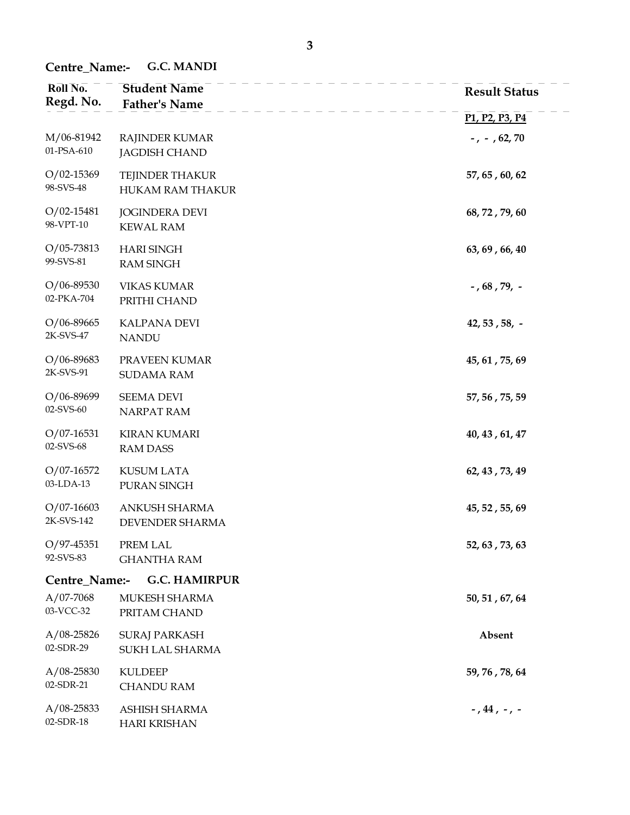Centre\_Name:- G.C. MANDI

| Roll No.<br>Regd. No.        | <b>Student Name</b><br><b>Father's Name</b> | <b>Result Status</b>                                              |
|------------------------------|---------------------------------------------|-------------------------------------------------------------------|
|                              |                                             | P <sub>1</sub> , P <sub>2</sub> , P <sub>3</sub> , P <sub>4</sub> |
| M/06-81942<br>01-PSA-610     | RAJINDER KUMAR<br><b>JAGDISH CHAND</b>      | $-$ , $-$ , 62, 70                                                |
| $O/02 - 15369$<br>98-SVS-48  | TEJINDER THAKUR<br>HUKAM RAM THAKUR         | 57, 65, 60, 62                                                    |
| $O/02 - 15481$<br>98-VPT-10  | <b>JOGINDERA DEVI</b><br><b>KEWAL RAM</b>   | 68, 72, 79, 60                                                    |
| $O/05 - 73813$<br>99-SVS-81  | <b>HARI SINGH</b><br><b>RAM SINGH</b>       | 63, 69, 66, 40                                                    |
| $O/06 - 89530$<br>02-PKA-704 | <b>VIKAS KUMAR</b><br>PRITHI CHAND          | $-$ , 68 , 79, $-$                                                |
| $O/06 - 89665$<br>2K-SVS-47  | <b>KALPANA DEVI</b><br><b>NANDU</b>         | $42, 53, 58, -$                                                   |
| $O/06 - 89683$<br>2K-SVS-91  | PRAVEEN KUMAR<br><b>SUDAMA RAM</b>          | 45, 61, 75, 69                                                    |
| $O/06 - 89699$<br>02-SVS-60  | <b>SEEMA DEVI</b><br>NARPAT RAM             | 57, 56, 75, 59                                                    |
| $O/07 - 16531$<br>02-SVS-68  | <b>KIRAN KUMARI</b><br><b>RAM DASS</b>      | 40, 43, 61, 47                                                    |
| $O/07-16572$<br>03-LDA-13    | <b>KUSUM LATA</b><br>PURAN SINGH            | 62, 43, 73, 49                                                    |
| $O/07 - 16603$<br>2K-SVS-142 | ANKUSH SHARMA<br>DEVENDER SHARMA            | 45, 52, 55, 69                                                    |
| $O/97 - 45351$<br>92-SVS-83  | PREM LAL<br><b>GHANTHA RAM</b>              | 52, 63, 73, 63                                                    |
| Centre_Name:-                | <b>G.C. HAMIRPUR</b>                        |                                                                   |
| $A/07-7068$<br>03-VCC-32     | MUKESH SHARMA<br>PRITAM CHAND               | 50, 51, 67, 64                                                    |
| $A/08 - 25826$<br>02-SDR-29  | <b>SURAJ PARKASH</b><br>SUKH LAL SHARMA     | Absent                                                            |
| $A/08 - 25830$<br>02-SDR-21  | <b>KULDEEP</b><br><b>CHANDU RAM</b>         | 59, 76, 78, 64                                                    |
| $A/08 - 25833$<br>02-SDR-18  | ASHISH SHARMA<br><b>HARI KRISHAN</b>        | $-$ , 44 , $-$ , $-$                                              |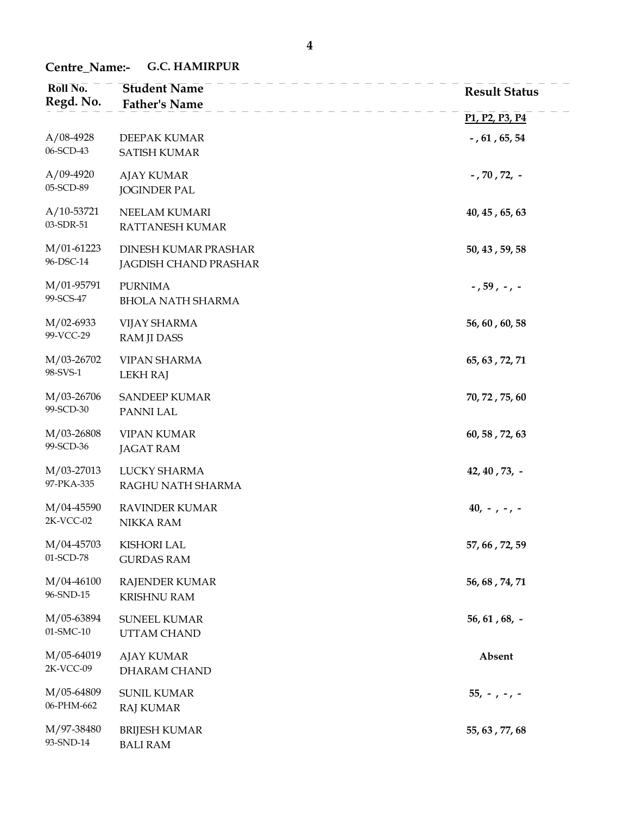## Centre\_Name:- G.C. HAMIRPUR

| Roll No.<br>Regd. No.     | <b>Student Name</b><br><b>Father's Name</b>   | <b>Result Status</b>                                              |
|---------------------------|-----------------------------------------------|-------------------------------------------------------------------|
|                           |                                               | P <sub>1</sub> , P <sub>2</sub> , P <sub>3</sub> , P <sub>4</sub> |
| $A/08-4928$<br>06-SCD-43  | DEEPAK KUMAR<br><b>SATISH KUMAR</b>           | - , $61$ , $65$ , $54$                                            |
| $A/09-4920$<br>05-SCD-89  | <b>AJAY KUMAR</b><br><b>JOGINDER PAL</b>      | - , 70 , 72, $-$                                                  |
| $A/10-53721$<br>03-SDR-51 | NEELAM KUMARI<br>RATTANESH KUMAR              | $40, 45$ , 65, 63                                                 |
| $M/01-61223$<br>96-DSC-14 | DINESH KUMAR PRASHAR<br>JAGDISH CHAND PRASHAR | 50, 43, 59, 58                                                    |
| M/01-95791<br>99-SCS-47   | <b>PURNIMA</b><br><b>BHOLA NATH SHARMA</b>    | $-$ , 59 , $-$ , $-$                                              |
| $M/02-6933$<br>99-VCC-29  | <b>VIJAY SHARMA</b><br>RAM JI DASS            | 56, 60, 60, 58                                                    |
| M/03-26702<br>98-SVS-1    | <b>VIPAN SHARMA</b><br><b>LEKH RAJ</b>        | 65, 63, 72, 71                                                    |
| M/03-26706<br>99-SCD-30   | <b>SANDEEP KUMAR</b><br>PANNI LAL             | 70, 72, 75, 60                                                    |
| M/03-26808<br>99-SCD-36   | <b>VIPAN KUMAR</b><br><b>JAGAT RAM</b>        | 60, 58, 72, 63                                                    |
| M/03-27013<br>97-PKA-335  | LUCKY SHARMA<br>RAGHU NATH SHARMA             | 42, 40, 73, -                                                     |
| M/04-45590<br>$2K-VCC-02$ | <b>RAVINDER KUMAR</b><br>NIKKA RAM            | $40, -7 -7 -$                                                     |
| M/04-45703<br>01-SCD-78   | <b>KISHORI LAL</b><br><b>GURDAS RAM</b>       | 57, 66, 72, 59                                                    |
| M/04-46100<br>96-SND-15   | <b>RAJENDER KUMAR</b><br><b>KRISHNU RAM</b>   | 56, 68, 74, 71                                                    |
| M/05-63894<br>01-SMC-10   | <b>SUNEEL KUMAR</b><br>UTTAM CHAND            | $56, 61, 68, -$                                                   |
| M/05-64019<br>2K-VCC-09   | <b>AJAY KUMAR</b><br>DHARAM CHAND             | Absent                                                            |
| M/05-64809<br>06-PHM-662  | <b>SUNIL KUMAR</b><br><b>RAJ KUMAR</b>        | $55, -, -, -$                                                     |
| M/97-38480<br>93-SND-14   | <b>BRIJESH KUMAR</b><br><b>BALI RAM</b>       | 55, 63, 77, 68                                                    |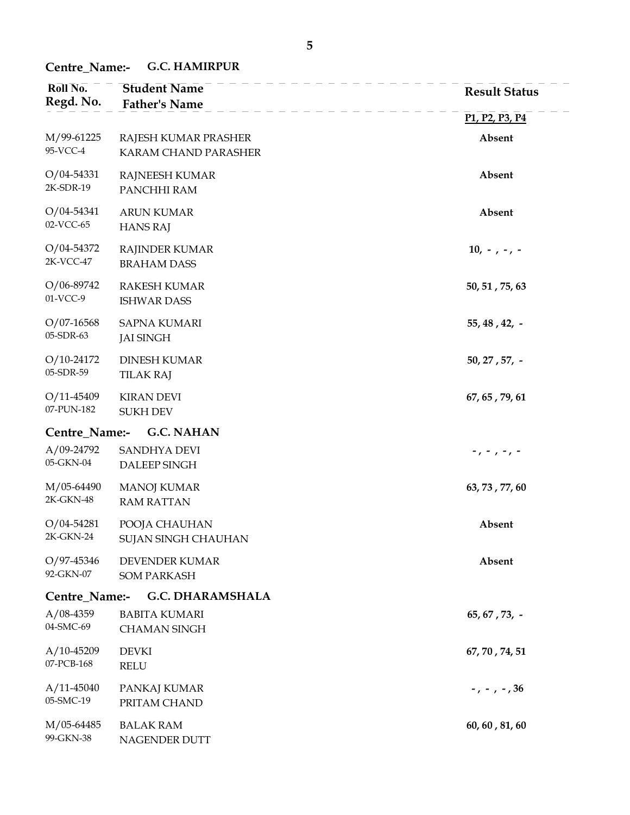Centre\_Name:- G.C. HAMIRPUR

| Roll No.<br>Regd. No.        | <b>Student Name</b><br><b>Father's Name</b>  | <b>Result Status</b>                                              |
|------------------------------|----------------------------------------------|-------------------------------------------------------------------|
|                              |                                              | P <sub>1</sub> , P <sub>2</sub> , P <sub>3</sub> , P <sub>4</sub> |
| M/99-61225<br>95-VCC-4       | RAJESH KUMAR PRASHER<br>KARAM CHAND PARASHER | Absent                                                            |
| $O/04 - 54331$<br>2K-SDR-19  | RAJNEESH KUMAR<br>PANCHHI RAM                | Absent                                                            |
| $O/04 - 54341$<br>02-VCC-65  | <b>ARUN KUMAR</b><br><b>HANS RAJ</b>         | Absent                                                            |
| $O/04 - 54372$<br>2K-VCC-47  | <b>RAJINDER KUMAR</b><br><b>BRAHAM DASS</b>  | $10, -7 - 7 -$                                                    |
| $O/06 - 89742$<br>01-VCC-9   | <b>RAKESH KUMAR</b><br><b>ISHWAR DASS</b>    | 50, 51, 75, 63                                                    |
| $O/07-16568$<br>05-SDR-63    | <b>SAPNA KUMARI</b><br><b>JAI SINGH</b>      | $55, 48, 42, -$                                                   |
| $O/10-24172$<br>05-SDR-59    | <b>DINESH KUMAR</b><br><b>TILAK RAJ</b>      | $50, 27, 57, -$                                                   |
| $O/11 - 45409$<br>07-PUN-182 | <b>KIRAN DEVI</b><br><b>SUKH DEV</b>         | 67, 65, 79, 61                                                    |
| Centre_Name:-                | <b>G.C. NAHAN</b>                            |                                                                   |
| $A/09-24792$<br>05-GKN-04    | SANDHYA DEVI<br>DALEEP SINGH                 | -, - , -, -                                                       |
| M/05-64490<br>2K-GKN-48      | <b>MANOJ KUMAR</b><br><b>RAM RATTAN</b>      | 63, 73, 77, 60                                                    |
| $O/04 - 54281$<br>2K-GKN-24  | POOJA CHAUHAN<br>SUJAN SINGH CHAUHAN         | Absent                                                            |
| O/97-45346<br>92-GKN-07      | DEVENDER KUMAR<br><b>SOM PARKASH</b>         | Absent                                                            |
| Centre_Name:-                | <b>G.C. DHARAMSHALA</b>                      |                                                                   |
| $A/08-4359$<br>04-SMC-69     | <b>BABITA KUMARI</b><br><b>CHAMAN SINGH</b>  | $65, 67, 73, -$                                                   |
| $A/10-45209$<br>07-PCB-168   | <b>DEVKI</b><br><b>RELU</b>                  | 67, 70, 74, 51                                                    |
| $A/11-45040$<br>05-SMC-19    | PANKAJ KUMAR<br>PRITAM CHAND                 | $-$ , $-$ , $-$ , 36                                              |
| M/05-64485<br>99-GKN-38      | <b>BALAK RAM</b><br>NAGENDER DUTT            | 60, 60, 81, 60                                                    |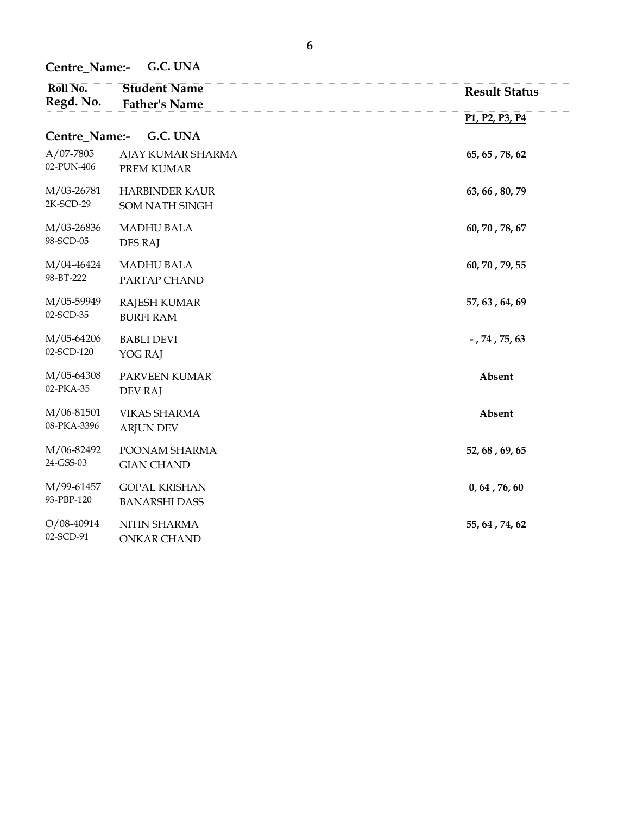Centre\_Name:- G.C. UNA

| Roll No.<br>Regd. No.     | <b>Student Name</b><br><b>Father's Name</b>  | <b>Result Status</b>                                              |
|---------------------------|----------------------------------------------|-------------------------------------------------------------------|
|                           |                                              | P <sub>1</sub> , P <sub>2</sub> , P <sub>3</sub> , P <sub>4</sub> |
| Centre_Name:-             | G.C. UNA                                     |                                                                   |
| $A/07-7805$<br>02-PUN-406 | AJAY KUMAR SHARMA<br>PREM KUMAR              | 65, 65, 78, 62                                                    |
| M/03-26781<br>2K-SCD-29   | <b>HARBINDER KAUR</b><br>SOM NATH SINGH      | 63, 66, 80, 79                                                    |
| M/03-26836<br>98-SCD-05   | <b>MADHU BALA</b><br><b>DES RAJ</b>          | 60, 70, 78, 67                                                    |
| M/04-46424<br>98-BT-222   | <b>MADHU BALA</b><br>PARTAP CHAND            | 60, 70, 79, 55                                                    |
| M/05-59949<br>02-SCD-35   | <b>RAJESH KUMAR</b><br><b>BURFI RAM</b>      | 57, 63, 64, 69                                                    |
| M/05-64206<br>02-SCD-120  | <b>BABLI DEVI</b><br>YOG RAJ                 | $-$ , 74, 75, 63                                                  |
| M/05-64308<br>02-PKA-35   | PARVEEN KUMAR<br><b>DEV RAJ</b>              | Absent                                                            |
| M/06-81501<br>08-PKA-3396 | <b>VIKAS SHARMA</b><br><b>ARJUN DEV</b>      | Absent                                                            |
| M/06-82492<br>24-GSS-03   | POONAM SHARMA<br><b>GIAN CHAND</b>           | 52, 68, 69, 65                                                    |
| M/99-61457<br>93-PBP-120  | <b>GOPAL KRISHAN</b><br><b>BANARSHI DASS</b> | 0, 64, 76, 60                                                     |
| $O/08-40914$<br>02-SCD-91 | NITIN SHARMA<br><b>ONKAR CHAND</b>           | 55, 64, 74, 62                                                    |